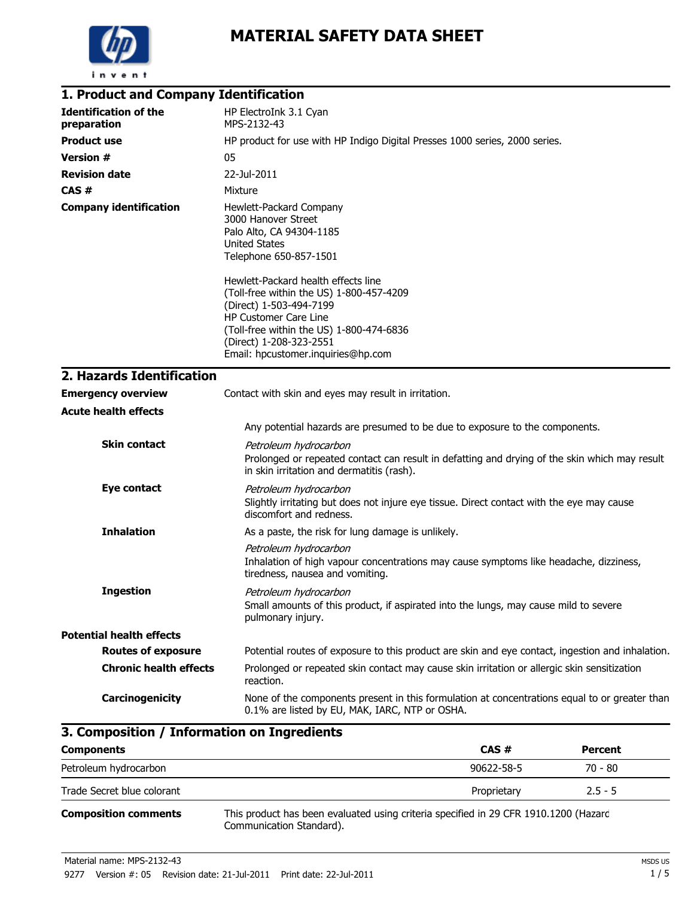

# **MATERIAL SAFETY DATA SHEET**

| 1. Product and Company Identification       |                                                                                                                                                                                                                                                  |
|---------------------------------------------|--------------------------------------------------------------------------------------------------------------------------------------------------------------------------------------------------------------------------------------------------|
| <b>Identification of the</b><br>preparation | HP ElectroInk 3.1 Cyan<br>MPS-2132-43                                                                                                                                                                                                            |
| <b>Product use</b>                          | HP product for use with HP Indigo Digital Presses 1000 series, 2000 series.                                                                                                                                                                      |
| <b>Version #</b>                            | 05                                                                                                                                                                                                                                               |
| <b>Revision date</b>                        | 22-Jul-2011                                                                                                                                                                                                                                      |
| CAS#                                        | Mixture                                                                                                                                                                                                                                          |
| <b>Company identification</b>               | Hewlett-Packard Company<br>3000 Hanover Street<br>Palo Alto, CA 94304-1185<br>United States<br>Telephone 650-857-1501                                                                                                                            |
|                                             | Hewlett-Packard health effects line<br>(Toll-free within the US) 1-800-457-4209<br>(Direct) 1-503-494-7199<br>HP Customer Care Line<br>(Toll-free within the US) 1-800-474-6836<br>(Direct) 1-208-323-2551<br>Email: hpcustomer.inquiries@hp.com |
| 2. Hazards Identification                   |                                                                                                                                                                                                                                                  |
| <b>Emergency overview</b>                   | Contact with skin and eyes may result in irritation.                                                                                                                                                                                             |
| <b>Acute health effects</b>                 |                                                                                                                                                                                                                                                  |
|                                             | Any potential hazards are presumed to be due to exposure to the components.                                                                                                                                                                      |
| <b>Skin contact</b>                         | Petroleum hydrocarbon<br>Prolonged or repeated contact can result in defatting and drying of the skin which may result<br>in skin irritation and dermatitis (rash).                                                                              |
| <b>Eye contact</b>                          | Petroleum hydrocarbon<br>Slightly irritating but does not injure eye tissue. Direct contact with the eye may cause<br>discomfort and redness.                                                                                                    |
| <b>Inhalation</b>                           | As a paste, the risk for lung damage is unlikely.                                                                                                                                                                                                |
|                                             | Petroleum hydrocarbon<br>Inhalation of high vapour concentrations may cause symptoms like headache, dizziness,<br>tiredness, nausea and vomiting.                                                                                                |
| <b>Ingestion</b>                            | Petroleum hydrocarbon<br>Small amounts of this product, if aspirated into the lungs, may cause mild to severe<br>pulmonary injury.                                                                                                               |
| <b>Potential health effects</b>             |                                                                                                                                                                                                                                                  |
| <b>Routes of exposure</b>                   | Potential routes of exposure to this product are skin and eye contact, ingestion and inhalation.                                                                                                                                                 |
| <b>Chronic health effects</b>               | Prolonged or repeated skin contact may cause skin irritation or allergic skin sensitization<br>reaction.                                                                                                                                         |
| Carcinogenicity                             | None of the components present in this formulation at concentrations equal to or greater than<br>0.1% are listed by EU, MAK, IARC, NTP or OSHA.                                                                                                  |

## **3. Composition / Information on Ingredients**

| <b>Components</b>           |                                                                                                                  | CAS#        | <b>Percent</b> |
|-----------------------------|------------------------------------------------------------------------------------------------------------------|-------------|----------------|
| Petroleum hydrocarbon       |                                                                                                                  | 90622-58-5  | 70 - 80        |
| Trade Secret blue colorant  |                                                                                                                  | Proprietary | $2.5 - 5$      |
| <b>Composition comments</b> | This product has been evaluated using criteria specified in 29 CFR 1910.1200 (Hazard<br>Communication Standard). |             |                |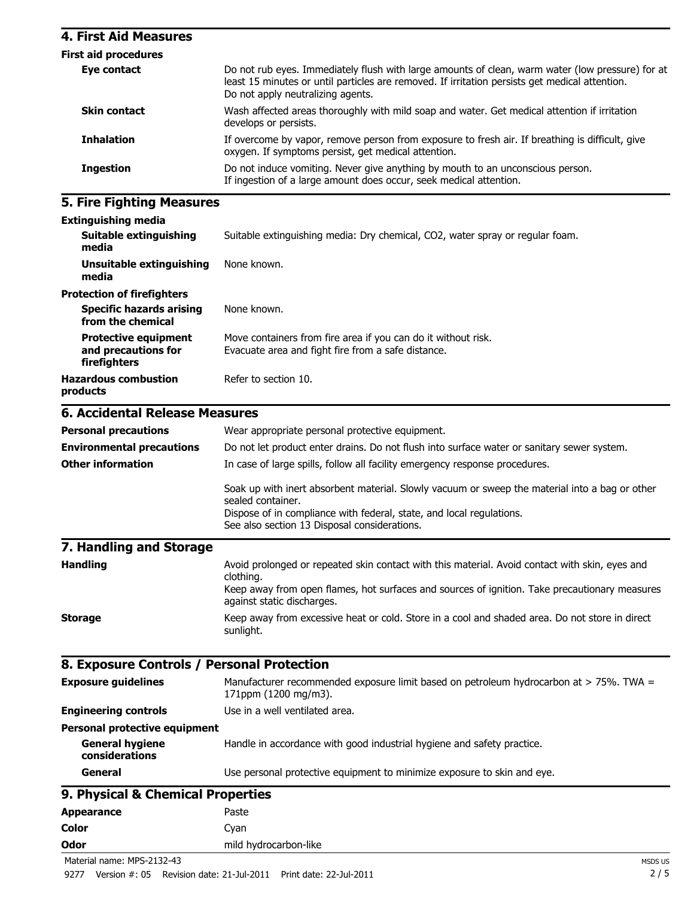#### **4. First Aid Measures**

| <b>First aid procedures</b> |                                                                                                                                                                                                                                         |
|-----------------------------|-----------------------------------------------------------------------------------------------------------------------------------------------------------------------------------------------------------------------------------------|
| Eye contact                 | Do not rub eyes. Immediately flush with large amounts of clean, warm water (low pressure) for at<br>least 15 minutes or until particles are removed. If irritation persists get medical attention.<br>Do not apply neutralizing agents. |
| <b>Skin contact</b>         | Wash affected areas thoroughly with mild soap and water. Get medical attention if irritation<br>develops or persists.                                                                                                                   |
| <b>Inhalation</b>           | If overcome by vapor, remove person from exposure to fresh air. If breathing is difficult, give<br>oxygen. If symptoms persist, get medical attention.                                                                                  |
| <b>Ingestion</b>            | Do not induce vomiting. Never give anything by mouth to an unconscious person.<br>If ingestion of a large amount does occur, seek medical attention.                                                                                    |

### **5. Fire Fighting Measures**

| <b>Extinguishing media</b> |  |
|----------------------------|--|
|----------------------------|--|

| <b>LAGRANDING MCAIG</b>                                            |                                                                                                                     |
|--------------------------------------------------------------------|---------------------------------------------------------------------------------------------------------------------|
| Suitable extinguishing<br>media                                    | Suitable extinguishing media: Dry chemical, CO2, water spray or regular foam.                                       |
| Unsuitable extinguishing<br>media                                  | None known.                                                                                                         |
| <b>Protection of firefighters</b>                                  |                                                                                                                     |
| <b>Specific hazards arising</b><br>from the chemical               | None known.                                                                                                         |
| <b>Protective equipment</b><br>and precautions for<br>firefighters | Move containers from fire area if you can do it without risk.<br>Evacuate area and fight fire from a safe distance. |
| <b>Hazardous combustion</b><br>products                            | Refer to section 10.                                                                                                |
| <b>6. Accidental Release Measures</b>                              |                                                                                                                     |
| <b>Personal precautions</b>                                        | Wear appropriate personal protective equipment.                                                                     |
| <b>Environmental precautions</b>                                   | Do not let product enter drains. Do not flush into surface water or sanitary sewer system.                          |

|                         | Soak up with inert absorbent material. Slowly vacuum or sweep the material into a bag or other<br>sealed container.<br>Dispose of in compliance with federal, state, and local regulations.<br>See also section 13 Disposal considerations. |
|-------------------------|---------------------------------------------------------------------------------------------------------------------------------------------------------------------------------------------------------------------------------------------|
| 7. Handling and Storage |                                                                                                                                                                                                                                             |
| <b>Handling</b>         | Avoid prolonged or repeated skin contact with this material. Avoid contact with skin, eyes and<br>clothing.                                                                                                                                 |
|                         | Keep away from open flames, hot surfaces and sources of ignition. Take precautionary measures<br>against static discharges.                                                                                                                 |
| <b>Storage</b>          | Keep away from excessive heat or cold. Store in a cool and shaded area. Do not store in direct<br>sunlight.                                                                                                                                 |

**Other information** In case of large spills, follow all facility emergency response procedures.

### **8. Exposure Controls / Personal Protection**

| <b>Exposure guidelines</b>               | Manufacturer recommended exposure limit based on petroleum hydrocarbon at > 75%. TWA =<br>171ppm (1200 mg/m3). |
|------------------------------------------|----------------------------------------------------------------------------------------------------------------|
| <b>Engineering controls</b>              | Use in a well ventilated area.                                                                                 |
| <b>Personal protective equipment</b>     |                                                                                                                |
| <b>General hygiene</b><br>considerations | Handle in accordance with good industrial hygiene and safety practice.                                         |
| General                                  | Use personal protective equipment to minimize exposure to skin and eye.                                        |
| 9. Physical & Chemical Properties        |                                                                                                                |
|                                          |                                                                                                                |

Appearance Paste **Color** Cyan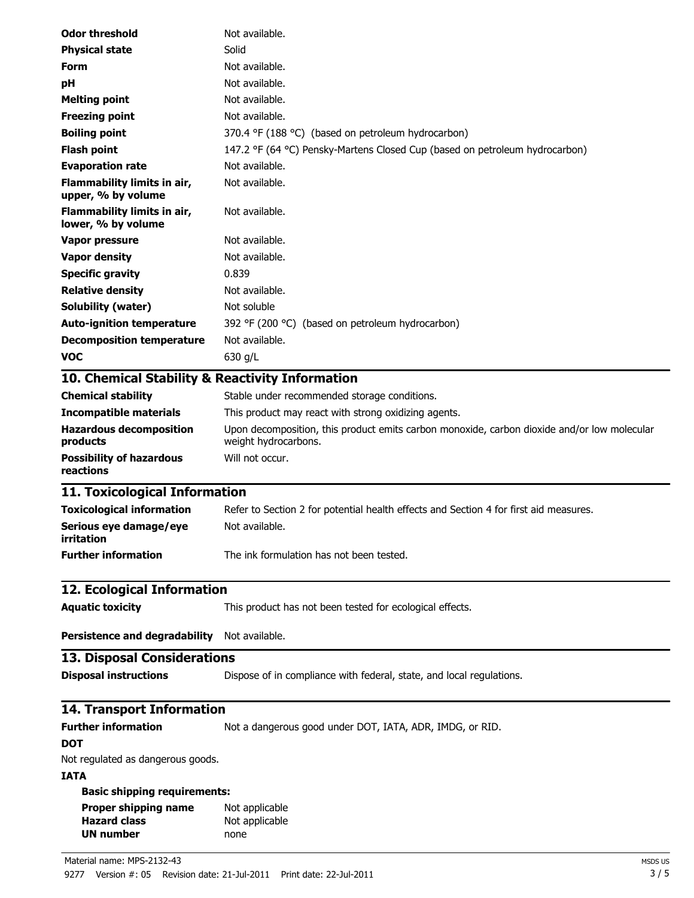| <b>Odor threshold</b>                                                  | Not available.                                                                                                      |
|------------------------------------------------------------------------|---------------------------------------------------------------------------------------------------------------------|
| <b>Physical state</b>                                                  | Solid                                                                                                               |
| Form                                                                   | Not available.                                                                                                      |
| рH                                                                     | Not available.                                                                                                      |
| <b>Melting point</b>                                                   | Not available.                                                                                                      |
| <b>Freezing point</b>                                                  | Not available.                                                                                                      |
| <b>Boiling point</b>                                                   | 370.4 °F (188 °C) (based on petroleum hydrocarbon)                                                                  |
| <b>Flash point</b>                                                     | 147.2 °F (64 °C) Pensky-Martens Closed Cup (based on petroleum hydrocarbon)                                         |
| <b>Evaporation rate</b>                                                | Not available.                                                                                                      |
| Flammability limits in air,<br>upper, % by volume                      | Not available.                                                                                                      |
| Flammability limits in air,<br>lower, % by volume                      | Not available.                                                                                                      |
| <b>Vapor pressure</b>                                                  | Not available.                                                                                                      |
| <b>Vapor density</b>                                                   | Not available.                                                                                                      |
| <b>Specific gravity</b>                                                | 0.839                                                                                                               |
| <b>Relative density</b>                                                | Not available.                                                                                                      |
| <b>Solubility (water)</b>                                              | Not soluble                                                                                                         |
| <b>Auto-ignition temperature</b>                                       | 392 °F (200 °C) (based on petroleum hydrocarbon)                                                                    |
| <b>Decomposition temperature</b>                                       | Not available.                                                                                                      |
| <b>VOC</b>                                                             | 630 g/L                                                                                                             |
| 10. Chemical Stability & Reactivity Information                        |                                                                                                                     |
| <b>Chemical stability</b>                                              | Stable under recommended storage conditions.                                                                        |
| <b>Incompatible materials</b>                                          | This product may react with strong oxidizing agents.                                                                |
| <b>Hazardous decomposition</b><br>products                             | Upon decomposition, this product emits carbon monoxide, carbon dioxide and/or low molecular<br>weight hydrocarbons. |
| <b>Possibility of hazardous</b><br>reactions                           | Will not occur.                                                                                                     |
| 11. Toxicological Information                                          |                                                                                                                     |
| <b>Toxicological information</b>                                       | Refer to Section 2 for potential health effects and Section 4 for first aid measures.                               |
| Serious eye damage/eye<br>irritation                                   | Not available.                                                                                                      |
| <b>Further information</b>                                             | The ink formulation has not been tested.                                                                            |
| 12. Ecological Information                                             |                                                                                                                     |
| <b>Aquatic toxicity</b>                                                | This product has not been tested for ecological effects.                                                            |
| <b>Persistence and degradability</b>                                   | Not available.                                                                                                      |
| <b>13. Disposal Considerations</b>                                     |                                                                                                                     |
| <b>Disposal instructions</b>                                           | Dispose of in compliance with federal, state, and local regulations.                                                |
| <b>14. Transport Information</b>                                       |                                                                                                                     |
| <b>Further information</b>                                             | Not a dangerous good under DOT, IATA, ADR, IMDG, or RID.                                                            |
| DOT                                                                    |                                                                                                                     |
| Not regulated as dangerous goods.                                      |                                                                                                                     |
| <b>IATA</b>                                                            |                                                                                                                     |
| <b>Basic shipping requirements:</b>                                    |                                                                                                                     |
| <b>Proper shipping name</b><br><b>Hazard class</b><br><b>UN number</b> | Not applicable<br>Not applicable<br>none                                                                            |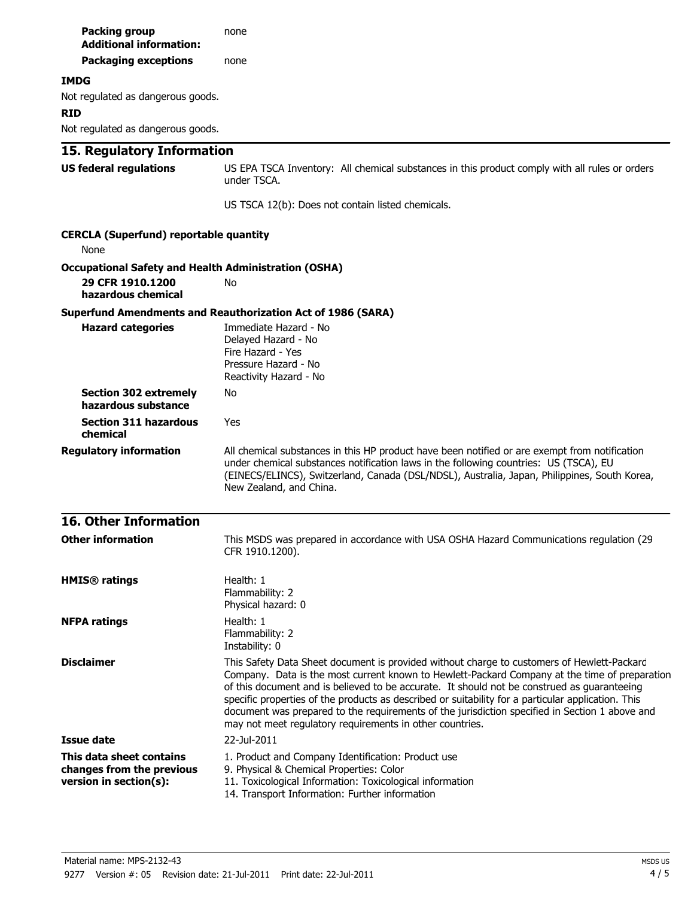| <b>Packing group</b><br><b>Additional information:</b>                          | none                                                                                                                                                                                                                                                                                                                                                                                                                                                                                                                                                           |
|---------------------------------------------------------------------------------|----------------------------------------------------------------------------------------------------------------------------------------------------------------------------------------------------------------------------------------------------------------------------------------------------------------------------------------------------------------------------------------------------------------------------------------------------------------------------------------------------------------------------------------------------------------|
| <b>Packaging exceptions</b>                                                     | none                                                                                                                                                                                                                                                                                                                                                                                                                                                                                                                                                           |
| <b>IMDG</b>                                                                     |                                                                                                                                                                                                                                                                                                                                                                                                                                                                                                                                                                |
| Not regulated as dangerous goods.<br><b>RID</b>                                 |                                                                                                                                                                                                                                                                                                                                                                                                                                                                                                                                                                |
| Not regulated as dangerous goods.                                               |                                                                                                                                                                                                                                                                                                                                                                                                                                                                                                                                                                |
| 15. Regulatory Information                                                      |                                                                                                                                                                                                                                                                                                                                                                                                                                                                                                                                                                |
| <b>US federal regulations</b>                                                   | US EPA TSCA Inventory: All chemical substances in this product comply with all rules or orders<br>under TSCA.                                                                                                                                                                                                                                                                                                                                                                                                                                                  |
|                                                                                 | US TSCA 12(b): Does not contain listed chemicals.                                                                                                                                                                                                                                                                                                                                                                                                                                                                                                              |
| <b>CERCLA (Superfund) reportable quantity</b><br>None                           |                                                                                                                                                                                                                                                                                                                                                                                                                                                                                                                                                                |
| <b>Occupational Safety and Health Administration (OSHA)</b>                     |                                                                                                                                                                                                                                                                                                                                                                                                                                                                                                                                                                |
| 29 CFR 1910.1200<br>hazardous chemical                                          | No                                                                                                                                                                                                                                                                                                                                                                                                                                                                                                                                                             |
|                                                                                 | <b>Superfund Amendments and Reauthorization Act of 1986 (SARA)</b>                                                                                                                                                                                                                                                                                                                                                                                                                                                                                             |
| <b>Hazard categories</b>                                                        | Immediate Hazard - No<br>Delayed Hazard - No<br>Fire Hazard - Yes<br>Pressure Hazard - No<br>Reactivity Hazard - No                                                                                                                                                                                                                                                                                                                                                                                                                                            |
| <b>Section 302 extremely</b><br>hazardous substance                             | No                                                                                                                                                                                                                                                                                                                                                                                                                                                                                                                                                             |
| <b>Section 311 hazardous</b><br>chemical                                        | Yes                                                                                                                                                                                                                                                                                                                                                                                                                                                                                                                                                            |
| <b>Regulatory information</b>                                                   | All chemical substances in this HP product have been notified or are exempt from notification<br>under chemical substances notification laws in the following countries: US (TSCA), EU<br>(EINECS/ELINCS), Switzerland, Canada (DSL/NDSL), Australia, Japan, Philippines, South Korea,<br>New Zealand, and China.                                                                                                                                                                                                                                              |
| <b>16. Other Information</b>                                                    |                                                                                                                                                                                                                                                                                                                                                                                                                                                                                                                                                                |
| <b>Other information</b>                                                        | This MSDS was prepared in accordance with USA OSHA Hazard Communications regulation (29)<br>CFR 1910.1200).                                                                                                                                                                                                                                                                                                                                                                                                                                                    |
| <b>HMIS®</b> ratings                                                            | Health: 1<br>Flammability: 2<br>Physical hazard: 0                                                                                                                                                                                                                                                                                                                                                                                                                                                                                                             |
| <b>NFPA ratings</b>                                                             | Health: 1<br>Flammability: 2<br>Instability: 0                                                                                                                                                                                                                                                                                                                                                                                                                                                                                                                 |
| <b>Disclaimer</b>                                                               | This Safety Data Sheet document is provided without charge to customers of Hewlett-Packard<br>Company. Data is the most current known to Hewlett-Packard Company at the time of preparation<br>of this document and is believed to be accurate. It should not be construed as guaranteeing<br>specific properties of the products as described or suitability for a particular application. This<br>document was prepared to the requirements of the jurisdiction specified in Section 1 above and<br>may not meet regulatory requirements in other countries. |
| <b>Issue date</b>                                                               | 22-Jul-2011                                                                                                                                                                                                                                                                                                                                                                                                                                                                                                                                                    |
| This data sheet contains<br>changes from the previous<br>version in section(s): | 1. Product and Company Identification: Product use<br>9. Physical & Chemical Properties: Color<br>11. Toxicological Information: Toxicological information<br>14. Transport Information: Further information                                                                                                                                                                                                                                                                                                                                                   |